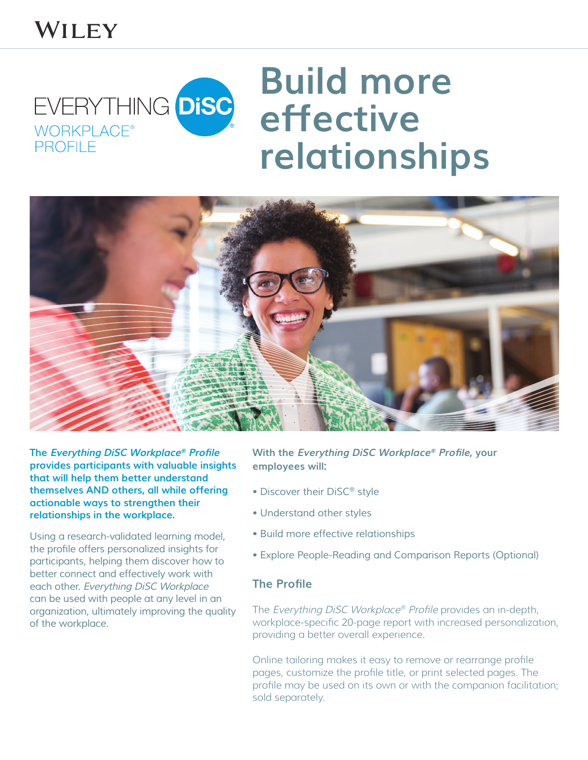## WILEY

## **Build more**  EVERYTHING DISC **effective**  WORKPLACE **relationshipsPROFILE**



**The Everything DiSC Workplace® Profile provides participants with valuable insights that will help them better understand themselves AND others, all while offering actionable ways to strengthen their relationships in the workplace.**

*Using a research-validated learning model,*  the profile offers personalized insights for *participants, helping them discover how to*  better connect and effectively work with *each other.* Everything DiSC Workplace can be used with people at any level in an organization, ultimately improving the quality of the workplace.

**With the Everything DiSC Workplace® Profile, your employees will:** 

- Discover their DiSC*®* style
- Understand other styles
- Build more effective relationships
- Explore People-Reading and Comparison Reports (Optional)

## **The Profile**

The Everything DiSC Workplace® Profile provides an in-depth, workplace-specific 20-page report with increased personalization, providing a better overall experience.

Online tailoring makes it easy to remove or rearrange profile pages, customize the profile title, or print selected pages. The profile may be used on its own or with the companion facilitation; sold separately.